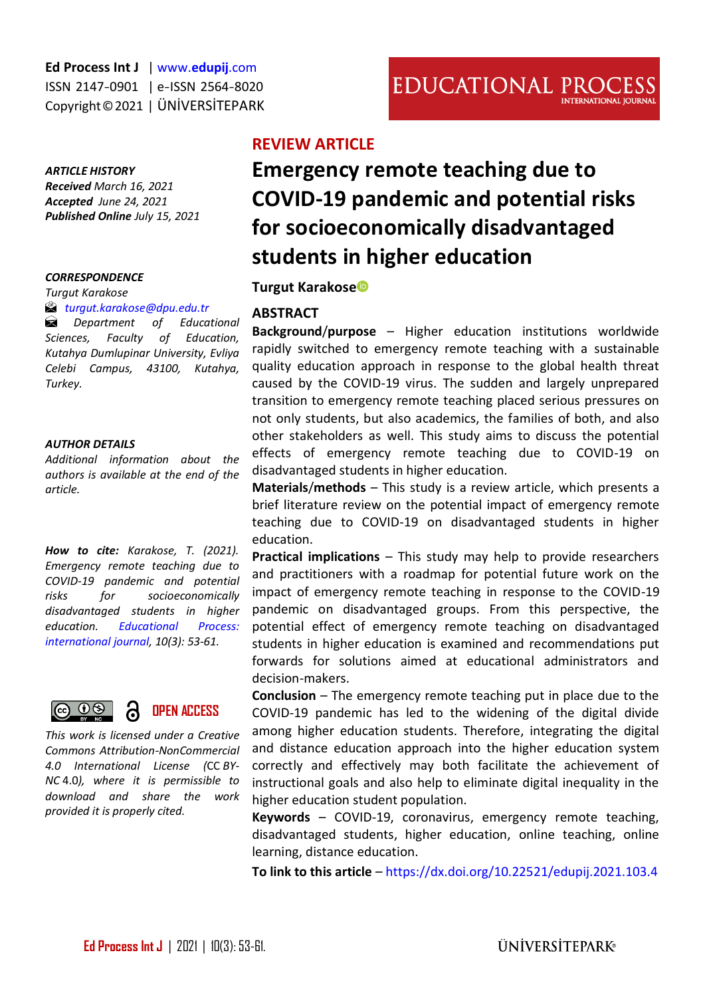#### *ARTICLE HISTORY*

*Received March 16, 2021 Accepted June 24, 2021 Published Online July 15, 2021* 

#### *CORRESPONDENCE*

*Turgut Karakose* 

#### *[turgut.karakose@dpu.edu.tr](mailto:turgut.karakose@dpu.edu.tr)*

*Department of Educational Sciences, Faculty of Education, Kutahya Dumlupinar University, Evliya Celebi Campus, 43100, Kutahya, Turkey.* 

#### *AUTHOR DETAILS*

*Additional information about the authors is available at the end of the article.*

*How to cite: Karakose, T. (2021). Emergency remote teaching due to COVID-19 pandemic and potential risks for socioeconomically disadvantaged students in higher education. [Educational Process:](http://edupij.com/)  [international journal,](http://edupij.com/) 10(3): 53-61.*



*This work is licensed under a Creative Commons Attribution-NonCommercial 4.0 International License (*CC *BY-NC* 4.0*), where it is permissible to download and share the work provided it is properly cited.*

# **REVIEW ARTICLE**

# **Emergency remote teaching due to COVID-19 pandemic and potential risks for socioeconomically disadvantaged students in higher education**

**Turgut Karakos[e](https://orcid.org/0000-0003-0346-8154)**

#### **ABSTRACT**

**Background**/**purpose** – Higher education institutions worldwide rapidly switched to emergency remote teaching with a sustainable quality education approach in response to the global health threat caused by the COVID-19 virus. The sudden and largely unprepared transition to emergency remote teaching placed serious pressures on not only students, but also academics, the families of both, and also other stakeholders as well. This study aims to discuss the potential effects of emergency remote teaching due to COVID-19 on disadvantaged students in higher education.

**Materials**/**methods** – This study is a review article, which presents a brief literature review on the potential impact of emergency remote teaching due to COVID-19 on disadvantaged students in higher education.

**Practical implications** – This study may help to provide researchers and practitioners with a roadmap for potential future work on the impact of emergency remote teaching in response to the COVID-19 pandemic on disadvantaged groups. From this perspective, the potential effect of emergency remote teaching on disadvantaged students in higher education is examined and recommendations put forwards for solutions aimed at educational administrators and decision-makers.

**Conclusion** – The emergency remote teaching put in place due to the COVID-19 pandemic has led to the widening of the digital divide among higher education students. Therefore, integrating the digital and distance education approach into the higher education system correctly and effectively may both facilitate the achievement of instructional goals and also help to eliminate digital inequality in the higher education student population.

**Keywords** – COVID-19, coronavirus, emergency remote teaching, disadvantaged students, higher education, online teaching, online learning, distance education.

**To link to this article** – <https://dx.doi.org/10.22521/edupij.2021.103.4>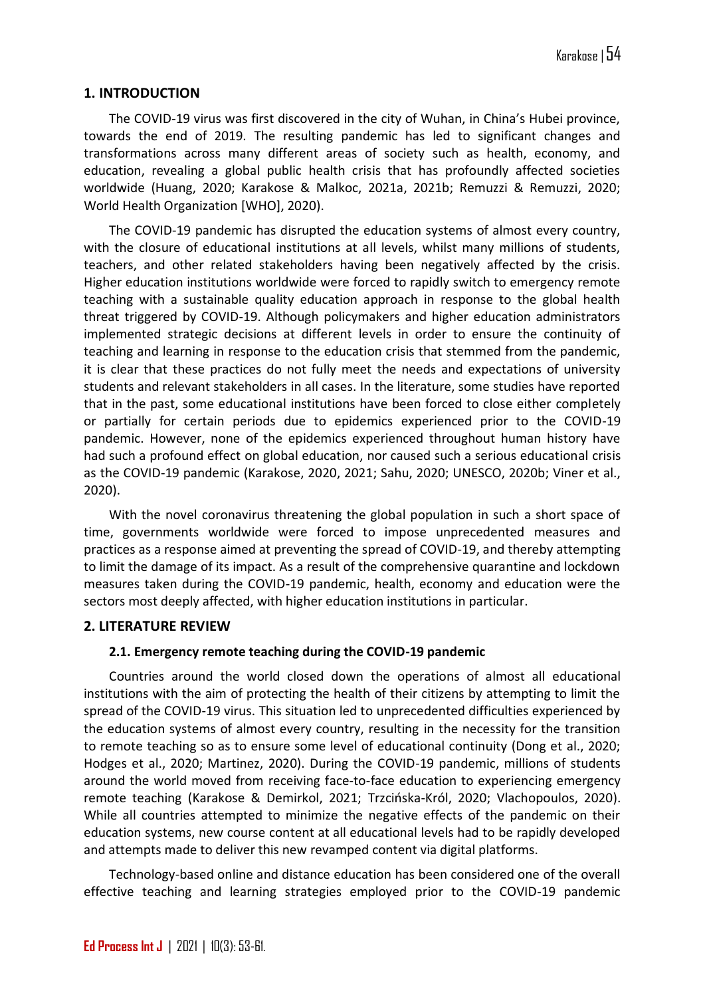## **1. INTRODUCTION**

The COVID-19 virus was first discovered in the city of Wuhan, in China's Hubei province, towards the end of 2019. The resulting pandemic has led to significant changes and transformations across many different areas of society such as health, economy, and education, revealing a global public health crisis that has profoundly affected societies worldwide (Huang, 2020; Karakose & Malkoc, 2021a, 2021b; Remuzzi & Remuzzi, 2020; World Health Organization [WHO], 2020).

The COVID-19 pandemic has disrupted the education systems of almost every country, with the closure of educational institutions at all levels, whilst many millions of students, teachers, and other related stakeholders having been negatively affected by the crisis. Higher education institutions worldwide were forced to rapidly switch to emergency remote teaching with a sustainable quality education approach in response to the global health threat triggered by COVID-19. Although policymakers and higher education administrators implemented strategic decisions at different levels in order to ensure the continuity of teaching and learning in response to the education crisis that stemmed from the pandemic, it is clear that these practices do not fully meet the needs and expectations of university students and relevant stakeholders in all cases. In the literature, some studies have reported that in the past, some educational institutions have been forced to close either completely or partially for certain periods due to epidemics experienced prior to the COVID-19 pandemic. However, none of the epidemics experienced throughout human history have had such a profound effect on global education, nor caused such a serious educational crisis as the COVID-19 pandemic (Karakose, 2020, 2021; Sahu, 2020; UNESCO, 2020b; Viner et al., 2020).

With the novel coronavirus threatening the global population in such a short space of time, governments worldwide were forced to impose unprecedented measures and practices as a response aimed at preventing the spread of COVID-19, and thereby attempting to limit the damage of its impact. As a result of the comprehensive quarantine and lockdown measures taken during the COVID-19 pandemic, health, economy and education were the sectors most deeply affected, with higher education institutions in particular.

## **2. LITERATURE REVIEW**

## **2.1. Emergency remote teaching during the COVID-19 pandemic**

Countries around the world closed down the operations of almost all educational institutions with the aim of protecting the health of their citizens by attempting to limit the spread of the COVID-19 virus. This situation led to unprecedented difficulties experienced by the education systems of almost every country, resulting in the necessity for the transition to remote teaching so as to ensure some level of educational continuity (Dong et al., 2020; Hodges et al., 2020; Martinez, 2020). During the COVID-19 pandemic, millions of students around the world moved from receiving face-to-face education to experiencing emergency remote teaching (Karakose & Demirkol, 2021; Trzcińska-Król, 2020; Vlachopoulos, 2020). While all countries attempted to minimize the negative effects of the pandemic on their education systems, new course content at all educational levels had to be rapidly developed and attempts made to deliver this new revamped content via digital platforms.

Technology-based online and distance education has been considered one of the overall effective teaching and learning strategies employed prior to the COVID-19 pandemic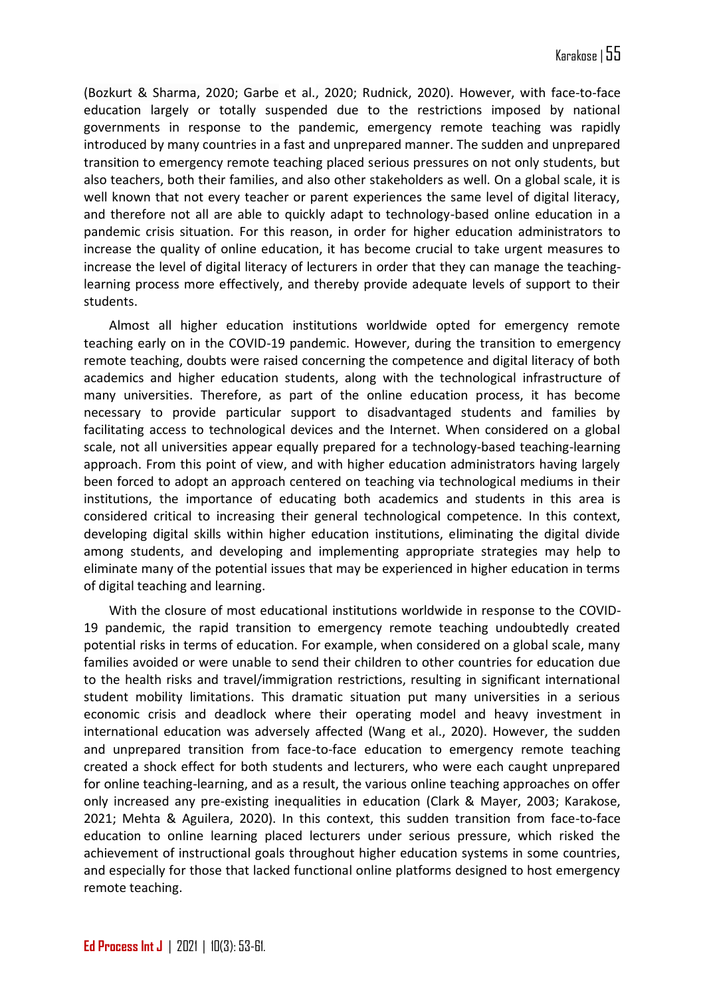(Bozkurt & Sharma, 2020; Garbe et al., 2020; Rudnick, 2020). However, with face-to-face education largely or totally suspended due to the restrictions imposed by national governments in response to the pandemic, emergency remote teaching was rapidly introduced by many countries in a fast and unprepared manner. The sudden and unprepared transition to emergency remote teaching placed serious pressures on not only students, but also teachers, both their families, and also other stakeholders as well. On a global scale, it is well known that not every teacher or parent experiences the same level of digital literacy, and therefore not all are able to quickly adapt to technology-based online education in a pandemic crisis situation. For this reason, in order for higher education administrators to increase the quality of online education, it has become crucial to take urgent measures to increase the level of digital literacy of lecturers in order that they can manage the teachinglearning process more effectively, and thereby provide adequate levels of support to their students.

Almost all higher education institutions worldwide opted for emergency remote teaching early on in the COVID-19 pandemic. However, during the transition to emergency remote teaching, doubts were raised concerning the competence and digital literacy of both academics and higher education students, along with the technological infrastructure of many universities. Therefore, as part of the online education process, it has become necessary to provide particular support to disadvantaged students and families by facilitating access to technological devices and the Internet. When considered on a global scale, not all universities appear equally prepared for a technology-based teaching-learning approach. From this point of view, and with higher education administrators having largely been forced to adopt an approach centered on teaching via technological mediums in their institutions, the importance of educating both academics and students in this area is considered critical to increasing their general technological competence. In this context, developing digital skills within higher education institutions, eliminating the digital divide among students, and developing and implementing appropriate strategies may help to eliminate many of the potential issues that may be experienced in higher education in terms of digital teaching and learning.

With the closure of most educational institutions worldwide in response to the COVID-19 pandemic, the rapid transition to emergency remote teaching undoubtedly created potential risks in terms of education. For example, when considered on a global scale, many families avoided or were unable to send their children to other countries for education due to the health risks and travel/immigration restrictions, resulting in significant international student mobility limitations. This dramatic situation put many universities in a serious economic crisis and deadlock where their operating model and heavy investment in international education was adversely affected (Wang et al., 2020). However, the sudden and unprepared transition from face-to-face education to emergency remote teaching created a shock effect for both students and lecturers, who were each caught unprepared for online teaching-learning, and as a result, the various online teaching approaches on offer only increased any pre-existing inequalities in education (Clark & Mayer, 2003; Karakose, 2021; Mehta & Aguilera, 2020). In this context, this sudden transition from face-to-face education to online learning placed lecturers under serious pressure, which risked the achievement of instructional goals throughout higher education systems in some countries, and especially for those that lacked functional online platforms designed to host emergency remote teaching.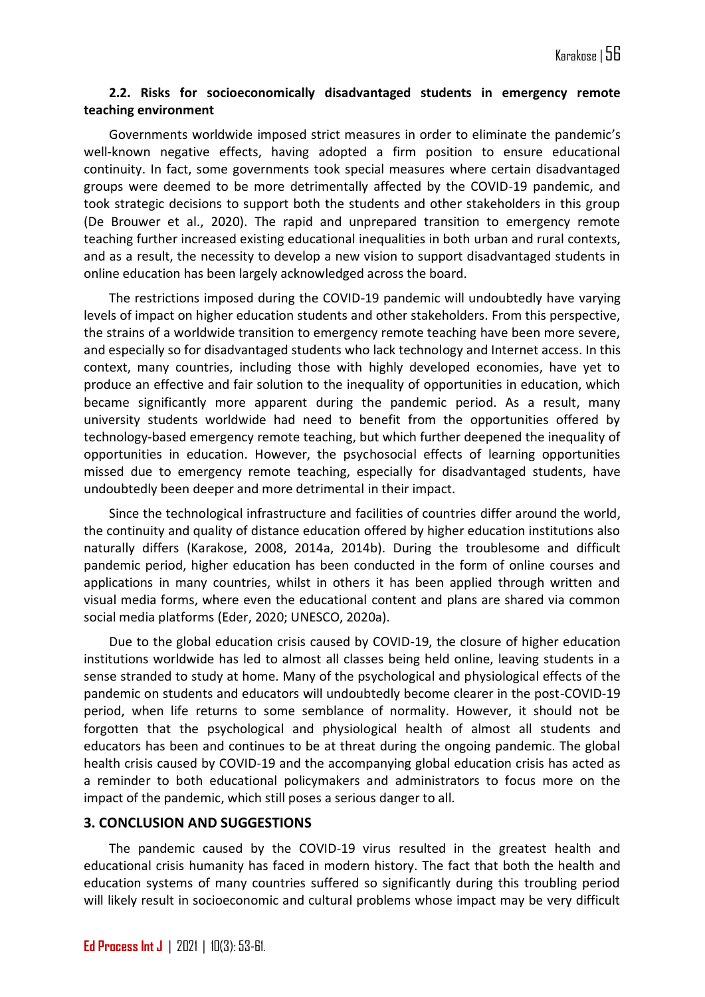## **2.2. Risks for socioeconomically disadvantaged students in emergency remote teaching environment**

Governments worldwide imposed strict measures in order to eliminate the pandemic's well-known negative effects, having adopted a firm position to ensure educational continuity. In fact, some governments took special measures where certain disadvantaged groups were deemed to be more detrimentally affected by the COVID-19 pandemic, and took strategic decisions to support both the students and other stakeholders in this group (De Brouwer et al., 2020). The rapid and unprepared transition to emergency remote teaching further increased existing educational inequalities in both urban and rural contexts, and as a result, the necessity to develop a new vision to support disadvantaged students in online education has been largely acknowledged across the board.

The restrictions imposed during the COVID-19 pandemic will undoubtedly have varying levels of impact on higher education students and other stakeholders. From this perspective, the strains of a worldwide transition to emergency remote teaching have been more severe, and especially so for disadvantaged students who lack technology and Internet access. In this context, many countries, including those with highly developed economies, have yet to produce an effective and fair solution to the inequality of opportunities in education, which became significantly more apparent during the pandemic period. As a result, many university students worldwide had need to benefit from the opportunities offered by technology-based emergency remote teaching, but which further deepened the inequality of opportunities in education. However, the psychosocial effects of learning opportunities missed due to emergency remote teaching, especially for disadvantaged students, have undoubtedly been deeper and more detrimental in their impact.

Since the technological infrastructure and facilities of countries differ around the world, the continuity and quality of distance education offered by higher education institutions also naturally differs (Karakose, 2008, 2014a, 2014b). During the troublesome and difficult pandemic period, higher education has been conducted in the form of online courses and applications in many countries, whilst in others it has been applied through written and visual media forms, where even the educational content and plans are shared via common social media platforms (Eder, 2020; UNESCO, 2020a).

Due to the global education crisis caused by COVID-19, the closure of higher education institutions worldwide has led to almost all classes being held online, leaving students in a sense stranded to study at home. Many of the psychological and physiological effects of the pandemic on students and educators will undoubtedly become clearer in the post-COVID-19 period, when life returns to some semblance of normality. However, it should not be forgotten that the psychological and physiological health of almost all students and educators has been and continues to be at threat during the ongoing pandemic. The global health crisis caused by COVID-19 and the accompanying global education crisis has acted as a reminder to both educational policymakers and administrators to focus more on the impact of the pandemic, which still poses a serious danger to all.

## **3. CONCLUSION AND SUGGESTIONS**

The pandemic caused by the COVID-19 virus resulted in the greatest health and educational crisis humanity has faced in modern history. The fact that both the health and education systems of many countries suffered so significantly during this troubling period will likely result in socioeconomic and cultural problems whose impact may be very difficult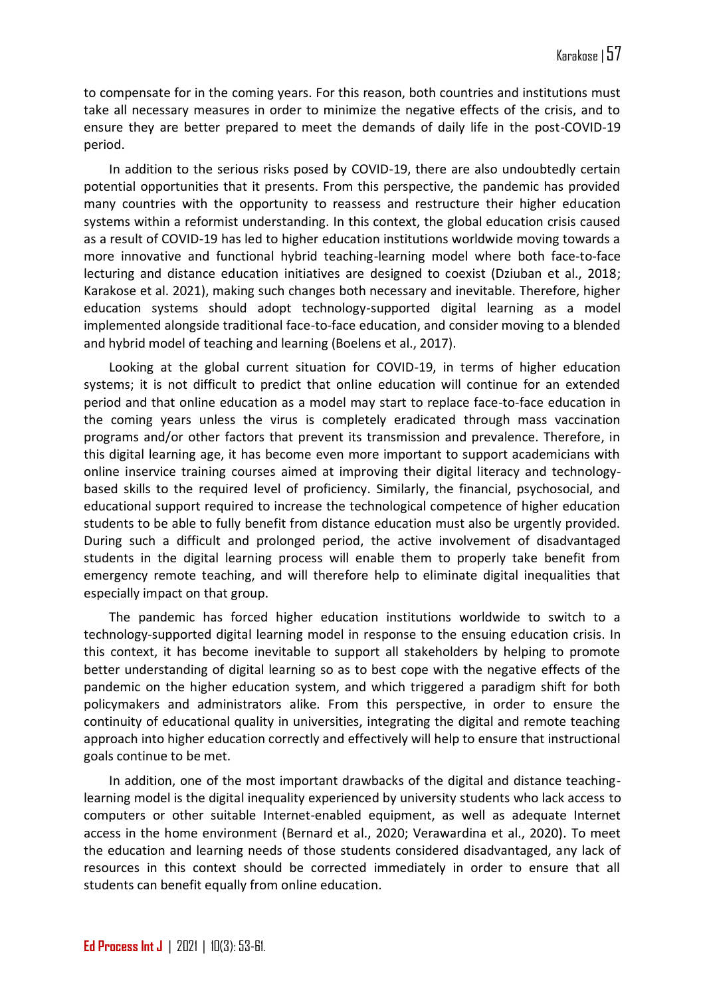to compensate for in the coming years. For this reason, both countries and institutions must take all necessary measures in order to minimize the negative effects of the crisis, and to ensure they are better prepared to meet the demands of daily life in the post-COVID-19 period.

In addition to the serious risks posed by COVID-19, there are also undoubtedly certain potential opportunities that it presents. From this perspective, the pandemic has provided many countries with the opportunity to reassess and restructure their higher education systems within a reformist understanding. In this context, the global education crisis caused as a result of COVID-19 has led to higher education institutions worldwide moving towards a more innovative and functional hybrid teaching-learning model where both face-to-face lecturing and distance education initiatives are designed to coexist (Dziuban et al., 2018; Karakose et al. 2021), making such changes both necessary and inevitable. Therefore, higher education systems should adopt technology-supported digital learning as a model implemented alongside traditional face-to-face education, and consider moving to a blended and hybrid model of teaching and learning (Boelens et al., 2017).

Looking at the global current situation for COVID-19, in terms of higher education systems; it is not difficult to predict that online education will continue for an extended period and that online education as a model may start to replace face-to-face education in the coming years unless the virus is completely eradicated through mass vaccination programs and/or other factors that prevent its transmission and prevalence. Therefore, in this digital learning age, it has become even more important to support academicians with online inservice training courses aimed at improving their digital literacy and technologybased skills to the required level of proficiency. Similarly, the financial, psychosocial, and educational support required to increase the technological competence of higher education students to be able to fully benefit from distance education must also be urgently provided. During such a difficult and prolonged period, the active involvement of disadvantaged students in the digital learning process will enable them to properly take benefit from emergency remote teaching, and will therefore help to eliminate digital inequalities that especially impact on that group.

The pandemic has forced higher education institutions worldwide to switch to a technology-supported digital learning model in response to the ensuing education crisis. In this context, it has become inevitable to support all stakeholders by helping to promote better understanding of digital learning so as to best cope with the negative effects of the pandemic on the higher education system, and which triggered a paradigm shift for both policymakers and administrators alike. From this perspective, in order to ensure the continuity of educational quality in universities, integrating the digital and remote teaching approach into higher education correctly and effectively will help to ensure that instructional goals continue to be met.

In addition, one of the most important drawbacks of the digital and distance teachinglearning model is the digital inequality experienced by university students who lack access to computers or other suitable Internet-enabled equipment, as well as adequate Internet access in the home environment (Bernard et al., 2020; Verawardina et al., 2020). To meet the education and learning needs of those students considered disadvantaged, any lack of resources in this context should be corrected immediately in order to ensure that all students can benefit equally from online education.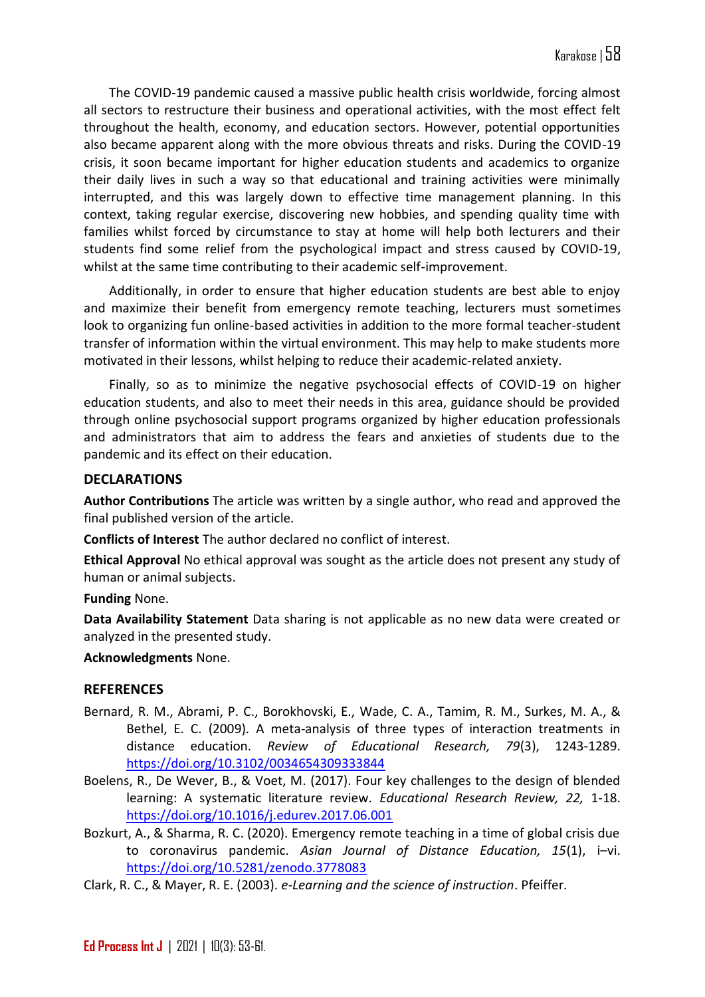The COVID-19 pandemic caused a massive public health crisis worldwide, forcing almost all sectors to restructure their business and operational activities, with the most effect felt throughout the health, economy, and education sectors. However, potential opportunities also became apparent along with the more obvious threats and risks. During the COVID-19 crisis, it soon became important for higher education students and academics to organize their daily lives in such a way so that educational and training activities were minimally interrupted, and this was largely down to effective time management planning. In this context, taking regular exercise, discovering new hobbies, and spending quality time with families whilst forced by circumstance to stay at home will help both lecturers and their students find some relief from the psychological impact and stress caused by COVID-19, whilst at the same time contributing to their academic self-improvement.

Additionally, in order to ensure that higher education students are best able to enjoy and maximize their benefit from emergency remote teaching, lecturers must sometimes look to organizing fun online-based activities in addition to the more formal teacher-student transfer of information within the virtual environment. This may help to make students more motivated in their lessons, whilst helping to reduce their academic-related anxiety.

Finally, so as to minimize the negative psychosocial effects of COVID-19 on higher education students, and also to meet their needs in this area, guidance should be provided through online psychosocial support programs organized by higher education professionals and administrators that aim to address the fears and anxieties of students due to the pandemic and its effect on their education.

# **DECLARATIONS**

**Author Contributions** The article was written by a single author, who read and approved the final published version of the article.

**Conflicts of Interest** The author declared no conflict of interest.

**Ethical Approval** No ethical approval was sought as the article does not present any study of human or animal subjects.

**Funding** None.

**Data Availability Statement** Data sharing is not applicable as no new data were created or analyzed in the presented study.

**Acknowledgments** None.

# **REFERENCES**

- Bernard, R. M., Abrami, P. C., Borokhovski, E., Wade, C. A., Tamim, R. M., Surkes, M. A., & Bethel, E. C. (2009). A meta-analysis of three types of interaction treatments in distance education. *Review of Educational Research, 79*(3), 1243-1289. <https://doi.org/10.3102/0034654309333844>
- Boelens, R., De Wever, B., & Voet, M. (2017). Four key challenges to the design of blended learning: A systematic literature review. *Educational Research Review, 22,* 1-18. <https://doi.org/10.1016/j.edurev.2017.06.001>
- Bozkurt, A., & Sharma, R. C. (2020). Emergency remote teaching in a time of global crisis due to coronavirus pandemic. *Asian Journal of Distance Education, 15*(1), i–vi. <https://doi.org/10.5281/zenodo.3778083>
- Clark, R. C., & Mayer, R. E. (2003). *e-Learning and the science of instruction*. Pfeiffer.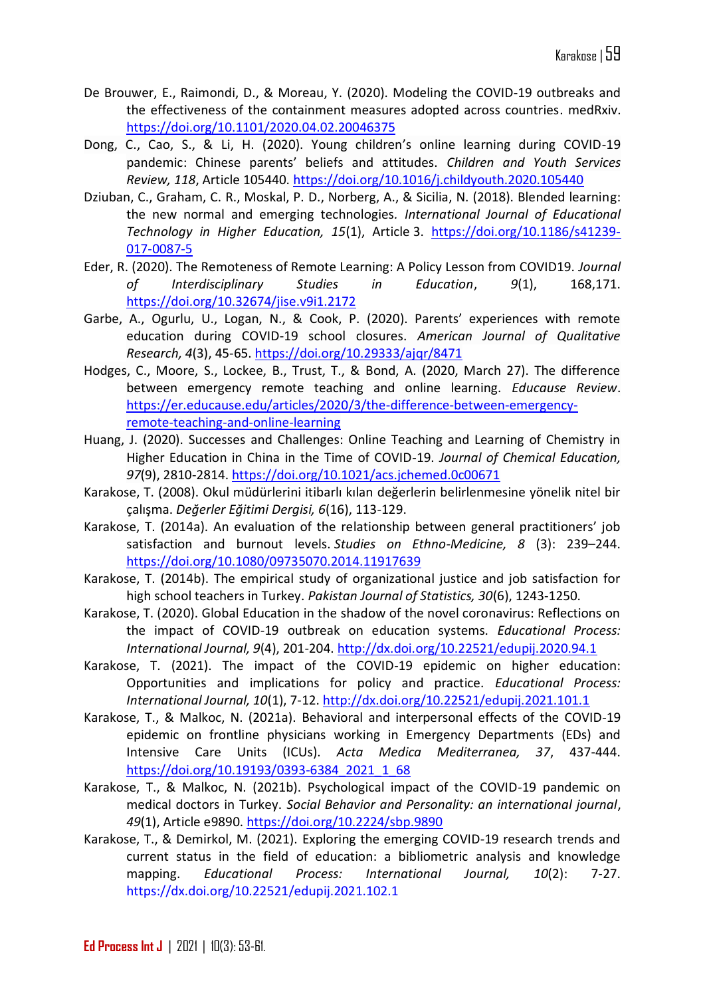- De Brouwer, E., Raimondi, D., & Moreau, Y. (2020). Modeling the COVID-19 outbreaks and the effectiveness of the containment measures adopted across countries. medRxiv. <https://doi.org/10.1101/2020.04.02.20046375>
- Dong, C., Cao, S., & Li, H. (2020). Young children's online learning during COVID-19 pandemic: Chinese parents' beliefs and attitudes. *Children and Youth Services Review, 118*, Article 105440. <https://doi.org/10.1016/j.childyouth.2020.105440>
- Dziuban, C., Graham, C. R., Moskal, P. D., Norberg, A., & Sicilia, N. (2018). Blended learning: the new normal and emerging technologies*. International Journal of Educational Technology in Higher Education, 15*(1), Article 3. [https://doi.org/10.1186/s41239-](https://doi.org/10.1186/s41239-017-0087-5) [017-0087-5](https://doi.org/10.1186/s41239-017-0087-5)
- Eder, R. (2020). The Remoteness of Remote Learning: A Policy Lesson from COVID19. *Journal of Interdisciplinary Studies in Education*, *9*(1), 168,171. <https://doi.org/10.32674/jise.v9i1.2172>
- Garbe, A., Ogurlu, U., Logan, N., & Cook, P. (2020). Parents' experiences with remote education during COVID-19 school closures. *American Journal of Qualitative Research, 4*(3), 45-65.<https://doi.org/10.29333/ajqr/8471>
- Hodges, C., Moore, S., Lockee, B., Trust, T., & Bond, A. (2020, March 27). The difference between emergency remote teaching and online learning. *Educause Review*. [https://er.educause.edu/articles/2020/3/the-difference-between-emergency](https://er.educause.edu/articles/2020/3/the-difference-between-emergency-remote-teaching-and-online-learning)[remote-teaching-and-online-learning](https://er.educause.edu/articles/2020/3/the-difference-between-emergency-remote-teaching-and-online-learning)
- Huang, J. (2020). Successes and Challenges: Online Teaching and Learning of Chemistry in Higher Education in China in the Time of COVID-19. *Journal of Chemical Education, 97*(9), 2810-2814. <https://doi.org/10.1021/acs.jchemed.0c00671>
- Karakose, T. (2008). Okul müdürlerini itibarlı kılan değerlerin belirlenmesine yönelik nitel bir çalışma. *Değerler Eğitimi Dergisi, 6*(16), 113-129.
- Karakose, T. (2014a). An evaluation of the relationship between general practitioners' job satisfaction and burnout levels. *Studies on Ethno-Medicine, 8* (3): 239–244. <https://doi.org/10.1080/09735070.2014.11917639>
- Karakose, T. (2014b). The empirical study of organizational justice and job satisfaction for high school teachers in Turkey. *Pakistan Journal of Statistics, 30*(6), 1243-1250.
- Karakose, T. (2020). Global Education in the shadow of the novel coronavirus: Reflections on the impact of COVID-19 outbreak on education systems. *Educational Process: International Journal, 9*(4), 201-204.<http://dx.doi.org/10.22521/edupij.2020.94.1>
- Karakose, T. (2021). The impact of the COVID-19 epidemic on higher education: Opportunities and implications for policy and practice. *Educational Process: International Journal, 10*(1), 7-12.<http://dx.doi.org/10.22521/edupij.2021.101.1>
- Karakose, T., & Malkoc, N. (2021a). Behavioral and interpersonal effects of the COVID-19 epidemic on frontline physicians working in Emergency Departments (EDs) and Intensive Care Units (ICUs). *Acta Medica Mediterranea, 37*, 437-444. [https://doi.org/10.19193/0393-6384\\_2021\\_1\\_68](https://doi.org/10.19193/0393-6384_2021_1_68)
- Karakose, T., & Malkoc, N. (2021b). Psychological impact of the COVID-19 pandemic on medical doctors in Turkey. *Social Behavior and Personality: an international journal*, *49*(1), Article e9890. <https://doi.org/10.2224/sbp.9890>
- Karakose, T., & Demirkol, M. (2021). Exploring the emerging COVID-19 research trends and current status in the field of education: a bibliometric analysis and knowledge mapping. *Educational Process: International Journal, 10*(2): 7-27. <https://dx.doi.org/10.22521/edupij.2021.102.1>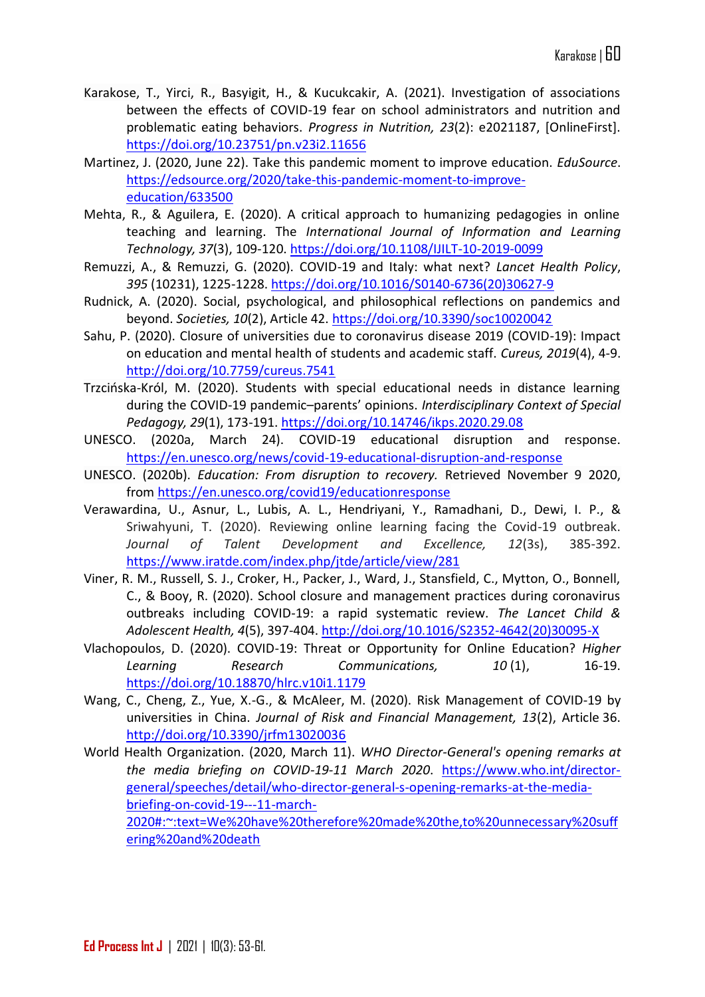- Karakose, T., Yirci, R., Basyigit, H., & Kucukcakir, A. (2021). Investigation of associations between the effects of COVID-19 fear on school administrators and nutrition and problematic eating behaviors. *Progress in Nutrition, 23*(2): e2021187, [OnlineFirst]. <https://doi.org/10.23751/pn.v23i2.11656>
- Martinez, J. (2020, June 22). Take this pandemic moment to improve education. *EduSource*. [https://edsource.org/2020/take-this-pandemic-moment-to-improve](https://edsource.org/2020/take-this-pandemic-moment-to-improve-education/633500)[education/633500](https://edsource.org/2020/take-this-pandemic-moment-to-improve-education/633500)
- Mehta, R., & Aguilera, E. (2020). A critical approach to humanizing pedagogies in online teaching and learning. The *International Journal of Information and Learning Technology, 37*(3), 109-120.<https://doi.org/10.1108/IJILT-10-2019-0099>
- Remuzzi, A., & Remuzzi, G. (2020). COVID-19 and Italy: what next? *Lancet Health Policy*, *395* (10231), 1225-1228. [https://doi.org/10.1016/S0140-6736\(20\)30627-9](https://doi.org/10.1016/S0140-6736(20)30627-9)
- Rudnick, A. (2020). Social, psychological, and philosophical reflections on pandemics and beyond. *Societies, 10*(2), Article 42. <https://doi.org/10.3390/soc10020042>
- Sahu, P. (2020). Closure of universities due to coronavirus disease 2019 (COVID-19): Impact on education and mental health of students and academic staff. *Cureus, 2019*(4), 4-9. <http://doi.org/10.7759/cureus.7541>
- Trzcińska-Król, M. (2020). Students with special educational needs in distance learning during the COVID-19 pandemic–parents' opinions. *Interdisciplinary Context of Special Pedagogy, 29*(1), 173-191. <https://doi.org/10.14746/ikps.2020.29.08>
- UNESCO. (2020a, March 24). COVID-19 educational disruption and response. <https://en.unesco.org/news/covid-19-educational-disruption-and-response>
- UNESCO. (2020b). *Education: From disruption to recovery.* Retrieved November 9 2020, from <https://en.unesco.org/covid19/educationresponse>
- Verawardina, U., Asnur, L., Lubis, A. L., Hendriyani, Y., Ramadhani, D., Dewi, I. P., & Sriwahyuni, T. (2020). Reviewing online learning facing the Covid-19 outbreak. *Journal of Talent Development and Excellence, 12*(3s), 385-392. <https://www.iratde.com/index.php/jtde/article/view/281>
- Viner, R. M., Russell, S. J., Croker, H., Packer, J., Ward, J., Stansfield, C., Mytton, O., Bonnell, C., & Booy, R. (2020). School closure and management practices during coronavirus outbreaks including COVID-19: a rapid systematic review. *The Lancet Child & Adolescent Health, 4*(5), 397-404. [http://doi.org/10.1016/S2352-4642\(20\)30095-X](http://doi.org/10.1016/S2352-4642(20)30095-X)
- Vlachopoulos, D. (2020). COVID-19: Threat or Opportunity for Online Education? *Higher Learning Research Communications, 10* (1), 16-19. <https://doi.org/10.18870/hlrc.v10i1.1179>
- Wang, C., Cheng, Z., Yue, X.-G., & McAleer, M. (2020). Risk Management of COVID-19 by universities in China. *Journal of Risk and Financial Management, 13*(2), Article 36. <http://doi.org/10.3390/jrfm13020036>
- World Health Organization. (2020, March 11). *WHO Director-General's opening remarks at the media briefing on COVID-19-11 March 2020*. [https://www.who.int/director](https://www.who.int/director-general/speeches/detail/who-director-general-s-opening-remarks-at-the-media-briefing-on-covid-19---11-march-2020#:~:text=We%20have%20therefore%20made%20the,to%20unnecessary%20suffering%20and%20death)[general/speeches/detail/who-director-general-s-opening-remarks-at-the-media](https://www.who.int/director-general/speeches/detail/who-director-general-s-opening-remarks-at-the-media-briefing-on-covid-19---11-march-2020#:~:text=We%20have%20therefore%20made%20the,to%20unnecessary%20suffering%20and%20death)[briefing-on-covid-19---11-march-](https://www.who.int/director-general/speeches/detail/who-director-general-s-opening-remarks-at-the-media-briefing-on-covid-19---11-march-2020#:~:text=We%20have%20therefore%20made%20the,to%20unnecessary%20suffering%20and%20death)[2020#:~:text=We%20have%20therefore%20made%20the,to%20unnecessary%20suff](https://www.who.int/director-general/speeches/detail/who-director-general-s-opening-remarks-at-the-media-briefing-on-covid-19---11-march-2020#:~:text=We%20have%20therefore%20made%20the,to%20unnecessary%20suffering%20and%20death) [ering%20and%20death](https://www.who.int/director-general/speeches/detail/who-director-general-s-opening-remarks-at-the-media-briefing-on-covid-19---11-march-2020#:~:text=We%20have%20therefore%20made%20the,to%20unnecessary%20suffering%20and%20death)